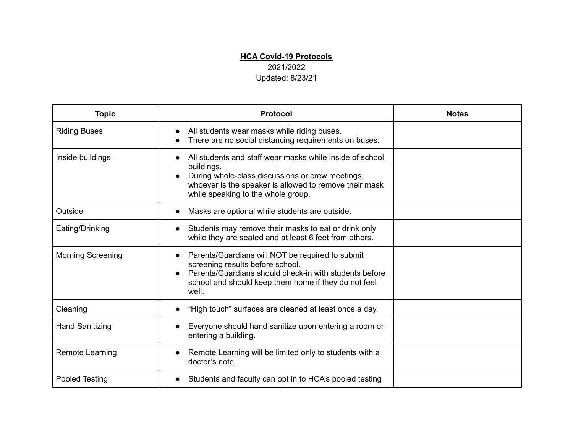## **HCA Covid-19 Protocols**

2021/2022

Updated: 8/23/21

| <b>Topic</b>             | <b>Protocol</b>                                                                                                                                                                                                            | <b>Notes</b> |
|--------------------------|----------------------------------------------------------------------------------------------------------------------------------------------------------------------------------------------------------------------------|--------------|
| <b>Riding Buses</b>      | All students wear masks while riding buses.<br>There are no social distancing requirements on buses.                                                                                                                       |              |
| Inside buildings         | All students and staff wear masks while inside of school<br>buildings.<br>During whole-class discussions or crew meetings,<br>whoever is the speaker is allowed to remove their mask<br>while speaking to the whole group. |              |
| Outside                  | Masks are optional while students are outside.                                                                                                                                                                             |              |
| Eating/Drinking          | Students may remove their masks to eat or drink only<br>while they are seated and at least 6 feet from others.                                                                                                             |              |
| <b>Morning Screening</b> | Parents/Guardians will NOT be required to submit<br>screening results before school.<br>Parents/Guardians should check-in with students before<br>school and should keep them home if they do not feel<br>well.            |              |
| Cleaning                 | "High touch" surfaces are cleaned at least once a day.                                                                                                                                                                     |              |
| <b>Hand Sanitizing</b>   | Everyone should hand sanitize upon entering a room or<br>entering a building.                                                                                                                                              |              |
| Remote Learning          | Remote Learning will be limited only to students with a<br>doctor's note.                                                                                                                                                  |              |
| <b>Pooled Testing</b>    | Students and faculty can opt in to HCA's pooled testing                                                                                                                                                                    |              |